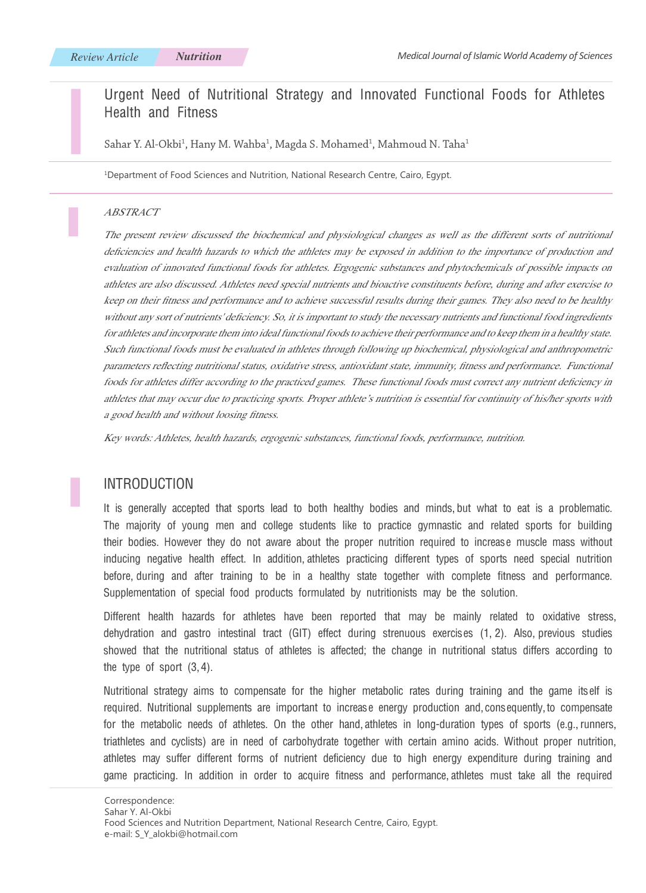# Urgent Need of Nutritional Strategy and Innovated Functional Foods for Athletes Health and Fitness

Sahar Y. Al-Okbi<sup>1</sup>, Hany M. Wahba<sup>1</sup>, Magda S. Mohamed<sup>1</sup>, Mahmoud N. Taha<sup>1</sup>

1 Department of Food Sciences and Nutrition, National Research Centre, Cairo, Egypt.

#### ABSTRACT

The present review discussed the biochemical and physiological changes as well as the different sorts of nutritional deficiencies and health hazards to which the athletes may be exposed in addition to the importance of production and evaluation of innovated functional foods for athletes. Ergogenic substances and phytochemicals of possible impacts on athletes are also discussed. Athletes need special nutrients and bioactive constituents before, during and after exercise to keep on their fitness and performance and to achieve successful results during their games. They also need to be healthy without any sort of nutrients' deficiency. So, it is important to study the necessary nutrients and functional food ingredients for athletes and incorporate them into ideal functional foods to achieve their performance and to keep them in a healthy state. Such functional foods must be evaluated in athletes through following up biochemical, physiological and anthropometric parameters reflecting nutritional status, oxidative stress, antioxidant state, immunity, fitness and performance. Functional foods for athletes differ according to the practiced games. These functional foods must correct any nutrient deficiency in athletes that may occur due to practicing sports. Proper athlete's nutrition is essential for continuity of his/her sports with a good health and without loosing fitness.

Key words: Athletes, health hazards, ergogenic substances, functional foods, performance, nutrition.

## INTRODUCTION

It is generally accepted that sports lead to both healthy bodies and minds, but what to eat is a problematic. The majority of young men and college students like to practice gymnastic and related sports for building their bodies. However they do not aware about the proper nutrition required to increase muscle mass without inducing negative health effect. In addition, athletes practicing different types of sports need special nutrition before, during and after training to be in a healthy state together with complete fitness and performance. Supplementation of special food products formulated by nutritionists may be the solution.

Different health hazards for athletes have been reported that may be mainly related to oxidative stress, dehydration and gastro intestinal tract (GIT) effect during strenuous exercises (1, 2). Also, previous studies showed that the nutritional status of athletes is affected; the change in nutritional status differs according to the type of sport  $(3, 4)$ .

Nutritional strategy aims to compensate for the higher metabolic rates during training and the game itself is required. Nutritional supplements are important to increase energy production and, consequently, to compensate for the metabolic needs of athletes. On the other hand, athletes in long-duration types of sports (e.g., runners, triathletes and cyclists) are in need of carbohydrate together with certain amino acids. Without proper nutrition, athletes may suffer different forms of nutrient deficiency due to high energy expenditure during training and game practicing. In addition in order to acquire fitness and performance, athletes must take all the required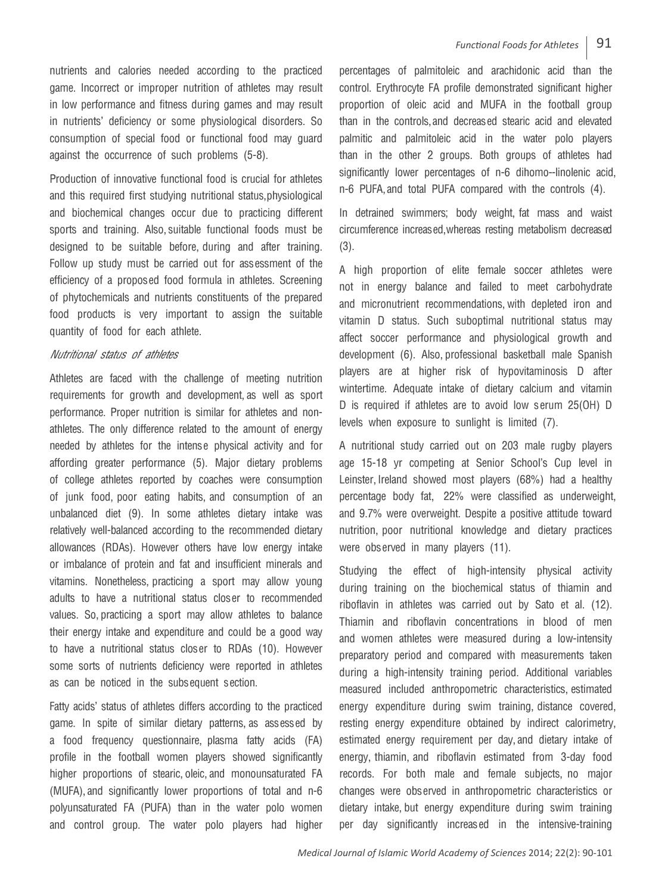nutrients and calories needed according to the practiced game. Incorrect or improper nutrition of athletes may result in low performance and fitness during games and may result in nutrients' deficiency or some physiological disorders. So consumption of special food or functional food may guard against the occurrence of such problems (5-8).

Production of innovative functional food is crucial for athletes and this required first studying nutritional status, physiological and biochemical changes occur due to practicing different sports and training. Also, suitable functional foods must be designed to be suitable before, during and after training. Follow up study must be carried out for assessment of the efficiency of a proposed food formula in athletes. Screening of phytochemicals and nutrients constituents of the prepared food products is very important to assign the suitable quantity of food for each athlete.

### Nutritional status of athletes

Athletes are faced with the challenge of meeting nutrition requirements for growth and development, as well as sport performance. Proper nutrition is similar for athletes and nonathletes. The only difference related to the amount of energy needed by athletes for the intense physical activity and for affording greater performance (5). Major dietary problems of college athletes reported by coaches were consumption of junk food, poor eating habits, and consumption of an unbalanced diet (9). In some athletes dietary intake was relatively well-balanced according to the recommended dietary allowances (RDAs). However others have low energy intake or imbalance of protein and fat and insufficient minerals and vitamins. Nonetheless, practicing a sport may allow young adults to have a nutritional status closer to recommended values. So, practicing a sport may allow athletes to balance their energy intake and expenditure and could be a good way to have a nutritional status closer to RDAs (10). However some sorts of nutrients deficiency were reported in athletes as can be noticed in the subsequent section.

Fatty acids' status of athletes differs according to the practiced game. In spite of similar dietary patterns, as assessed by a food frequency questionnaire, plasma fatty acids (FA) profile in the football women players showed significantly higher proportions of stearic, oleic, and monounsaturated FA (MUFA), and significantly lower proportions of total and n-6 polyunsaturated FA (PUFA) than in the water polo women and control group. The water polo players had higher

percentages of palmitoleic and arachidonic acid than the control. Erythrocyte FA profile demonstrated significant higher proportion of oleic acid and MUFA in the football group than in the controls, and decreased stearic acid and elevated palmitic and palmitoleic acid in the water polo players than in the other 2 groups. Both groups of athletes had significantly lower percentages of n-6 dihomo--linolenic acid, n-6 PUFA, and total PUFA compared with the controls (4).

In detrained swimmers; body weight, fat mass and waist circumference increased, whereas resting metabolism decreased (3).

A high proportion of elite female soccer athletes were not in energy balance and failed to meet carbohydrate and micronutrient recommendations, with depleted iron and vitamin D status. Such suboptimal nutritional status may affect soccer performance and physiological growth and development (6). Also, professional basketball male Spanish players are at higher risk of hypovitaminosis D after wintertime. Adequate intake of dietary calcium and vitamin D is required if athletes are to avoid low serum 25(OH) D levels when exposure to sunlight is limited (7).

A nutritional study carried out on 203 male rugby players age 15-18 yr competing at Senior School's Cup level in Leinster, Ireland showed most players (68%) had a healthy percentage body fat, 22% were classified as underweight, and 9.7% were overweight. Despite a positive attitude toward nutrition, poor nutritional knowledge and dietary practices were observed in many players (11).

Studying the effect of high-intensity physical activity during training on the biochemical status of thiamin and riboflavin in athletes was carried out by Sato et al. (12). Thiamin and riboflavin concentrations in blood of men and women athletes were measured during a low-intensity preparatory period and compared with measurements taken during a high-intensity training period. Additional variables measured included anthropometric characteristics, estimated energy expenditure during swim training, distance covered, resting energy expenditure obtained by indirect calorimetry, estimated energy requirement per day, and dietary intake of energy, thiamin, and riboflavin estimated from 3-day food records. For both male and female subjects, no major changes were observed in anthropometric characteristics or dietary intake, but energy expenditure during swim training per day significantly increased in the intensive-training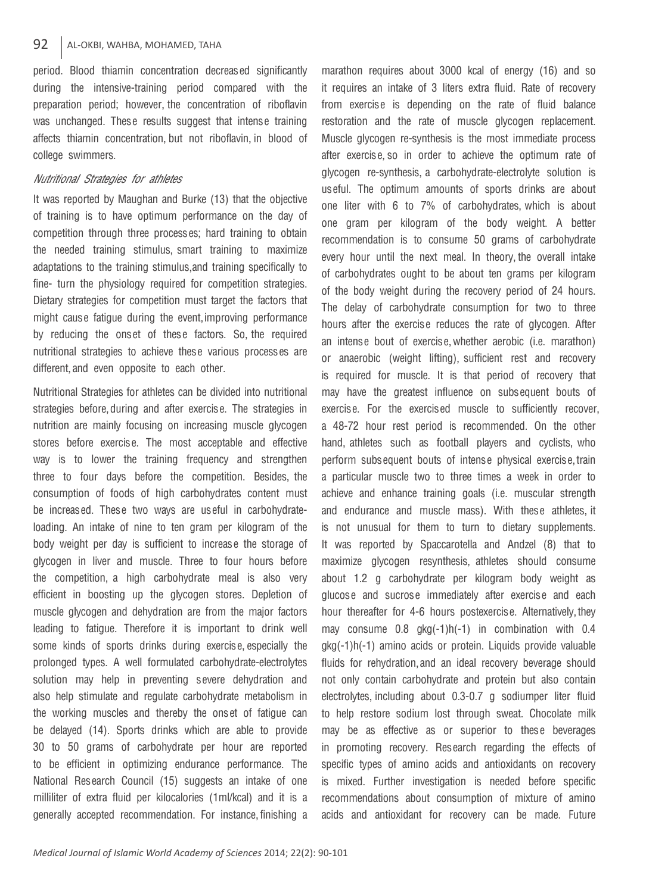period. Blood thiamin concentration decreased significantly during the intensive-training period compared with the preparation period; however, the concentration of riboflavin was unchanged. These results suggest that intense training affects thiamin concentration, but not riboflavin, in blood of college swimmers.

### Nutritional Strategies for athletes

It was reported by Maughan and Burke (13) that the objective of training is to have optimum performance on the day of competition through three processes; hard training to obtain the needed training stimulus, smart training to maximize adaptations to the training stimulus, and training specifically to fine- turn the physiology required for competition strategies. Dietary strategies for competition must target the factors that might cause fatigue during the event, improving performance by reducing the onset of these factors. So, the required nutritional strategies to achieve these various processes are different, and even opposite to each other.

Nutritional Strategies for athletes can be divided into nutritional strategies before, during and after exercise. The strategies in nutrition are mainly focusing on increasing muscle glycogen stores before exercise. The most acceptable and effective way is to lower the training frequency and strengthen three to four days before the competition. Besides, the consumption of foods of high carbohydrates content must be increased. These two ways are useful in carbohydrateloading. An intake of nine to ten gram per kilogram of the body weight per day is sufficient to increase the storage of glycogen in liver and muscle. Three to four hours before the competition, a high carbohydrate meal is also very efficient in boosting up the glycogen stores. Depletion of muscle glycogen and dehydration are from the major factors leading to fatigue. Therefore it is important to drink well some kinds of sports drinks during exercise, especially the prolonged types. A well formulated carbohydrate-electrolytes solution may help in preventing severe dehydration and also help stimulate and regulate carbohydrate metabolism in the working muscles and thereby the onset of fatigue can be delayed (14). Sports drinks which are able to provide 30 to 50 grams of carbohydrate per hour are reported to be efficient in optimizing endurance performance. The National Research Council (15) suggests an intake of one milliliter of extra fluid per kilocalories (1ml/kcal) and it is a generally accepted recommendation. For instance, finishing a

marathon requires about 3000 kcal of energy (16) and so it requires an intake of 3 liters extra fluid. Rate of recovery from exercise is depending on the rate of fluid balance restoration and the rate of muscle glycogen replacement. Muscle glycogen re-synthesis is the most immediate process after exercise, so in order to achieve the optimum rate of glycogen re-synthesis, a carbohydrate-electrolyte solution is useful. The optimum amounts of sports drinks are about one liter with 6 to 7% of carbohydrates, which is about one gram per kilogram of the body weight. A better recommendation is to consume 50 grams of carbohydrate every hour until the next meal. In theory, the overall intake of carbohydrates ought to be about ten grams per kilogram of the body weight during the recovery period of 24 hours. The delay of carbohydrate consumption for two to three hours after the exercise reduces the rate of glycogen. After an intense bout of exercise, whether aerobic (i.e. marathon) or anaerobic (weight lifting), sufficient rest and recovery is required for muscle. It is that period of recovery that may have the greatest influence on subsequent bouts of exercise. For the exercised muscle to sufficiently recover, a 48-72 hour rest period is recommended. On the other hand, athletes such as football players and cyclists, who perform subsequent bouts of intense physical exercise, train a particular muscle two to three times a week in order to achieve and enhance training goals (i.e. muscular strength and endurance and muscle mass). With these athletes, it is not unusual for them to turn to dietary supplements. It was reported by Spaccarotella and Andzel (8) that to maximize glycogen resynthesis, athletes should consume about 1.2 g carbohydrate per kilogram body weight as glucose and sucrose immediately after exercise and each hour thereafter for 4-6 hours postexercise. Alternatively, they may consume  $0.8$  gkg(-1)h(-1) in combination with  $0.4$ gkg(-1)h(-1) amino acids or protein. Liquids provide valuable fluids for rehydration, and an ideal recovery beverage should not only contain carbohydrate and protein but also contain electrolytes, including about 0.3-0.7 g sodiumper liter fluid to help restore sodium lost through sweat. Chocolate milk may be as effective as or superior to these beverages in promoting recovery. Research regarding the effects of specific types of amino acids and antioxidants on recovery is mixed. Further investigation is needed before specific recommendations about consumption of mixture of amino acids and antioxidant for recovery can be made. Future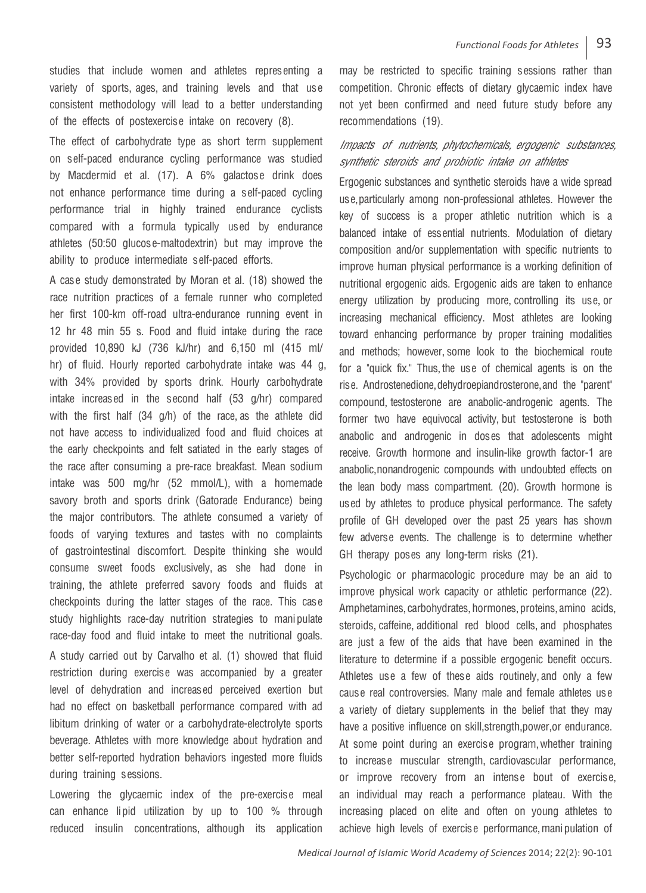studies that include women and athletes representing a variety of sports, ages, and training levels and that use consistent methodology will lead to a better understanding of the effects of postexercise intake on recovery (8).

The effect of carbohydrate type as short term supplement on self-paced endurance cycling performance was studied by Macdermid et al. (17). A 6% galactose drink does not enhance performance time during a self-paced cycling performance trial in highly trained endurance cyclists compared with a formula typically used by endurance athletes (50:50 glucose-maltodextrin) but may improve the ability to produce intermediate self-paced efforts.

A case study demonstrated by Moran et al. (18) showed the race nutrition practices of a female runner who completed her first 100-km off-road ultra-endurance running event in 12 hr 48 min 55 s. Food and fluid intake during the race provided 10,890 kJ (736 kJ/hr) and 6,150 ml (415 ml/ hr) of fluid. Hourly reported carbohydrate intake was 44 g, with 34% provided by sports drink. Hourly carbohydrate intake increased in the second half (53 g/hr) compared with the first half (34 g/h) of the race, as the athlete did not have access to individualized food and fluid choices at the early checkpoints and felt satiated in the early stages of the race after consuming a pre-race breakfast. Mean sodium intake was 500 mg/hr (52 mmol/L), with a homemade savory broth and sports drink (Gatorade Endurance) being the major contributors. The athlete consumed a variety of foods of varying textures and tastes with no complaints of gastrointestinal discomfort. Despite thinking she would consume sweet foods exclusively, as she had done in training, the athlete preferred savory foods and fluids at checkpoints during the latter stages of the race. This case study highlights race-day nutrition strategies to manipulate race-day food and fluid intake to meet the nutritional goals.

A study carried out by Carvalho et al. (1) showed that fluid restriction during exercise was accompanied by a greater level of dehydration and increased perceived exertion but had no effect on basketball performance compared with ad libitum drinking of water or a carbohydrate-electrolyte sports beverage. Athletes with more knowledge about hydration and better self-reported hydration behaviors ingested more fluids during training sessions.

Lowering the glycaemic index of the pre-exercise meal can enhance lipid utilization by up to 100 % through reduced insulin concentrations, although its application

may be restricted to specific training sessions rather than competition. Chronic effects of dietary glycaemic index have not yet been confirmed and need future study before any recommendations (19).

# Impacts of nutrients, phytochemicals, ergogenic substances, synthetic steroids and probiotic intake on athletes

Ergogenic substances and synthetic steroids have a wide spread use, particularly among non-professional athletes. However the key of success is a proper athletic nutrition which is a balanced intake of essential nutrients. Modulation of dietary composition and/or supplementation with specific nutrients to improve human physical performance is a working definition of nutritional ergogenic aids. Ergogenic aids are taken to enhance energy utilization by producing more, controlling its use, or increasing mechanical efficiency. Most athletes are looking toward enhancing performance by proper training modalities and methods; however, some look to the biochemical route for a "quick fix." Thus, the use of chemical agents is on the rise. Androstenedione, dehydroepiandrosterone, and the "parent" compound, testosterone are anabolic-androgenic agents. The former two have equivocal activity, but testosterone is both anabolic and androgenic in doses that adolescents might receive. Growth hormone and insulin-like growth factor-1 are anabolic, nonandrogenic compounds with undoubted effects on the lean body mass compartment. (20). Growth hormone is used by athletes to produce physical performance. The safety profile of GH developed over the past 25 years has shown few adverse events. The challenge is to determine whether GH therapy poses any long-term risks (21).

Psychologic or pharmacologic procedure may be an aid to improve physical work capacity or athletic performance (22). Amphetamines, carbohydrates, hormones, proteins, amino acids, steroids, caffeine, additional red blood cells, and phosphates are just a few of the aids that have been examined in the literature to determine if a possible ergogenic benefit occurs. Athletes use a few of these aids routinely, and only a few cause real controversies. Many male and female athletes use a variety of dietary supplements in the belief that they may have a positive influence on skill, strength, power, or endurance. At some point during an exercise program, whether training to increase muscular strength, cardiovascular performance, or improve recovery from an intense bout of exercise, an individual may reach a performance plateau. With the increasing placed on elite and often on young athletes to achieve high levels of exercise performance, manipulation of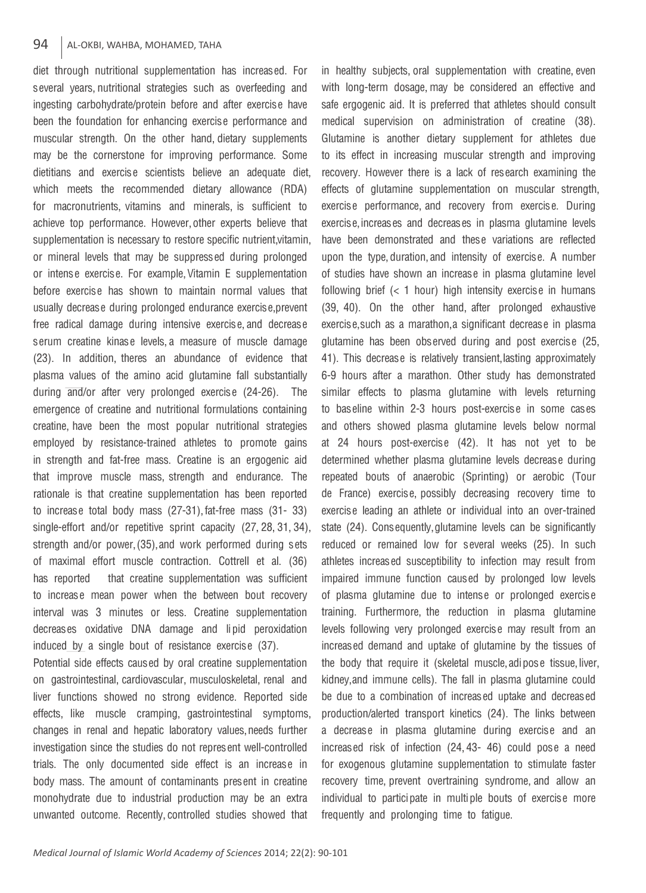## 94 AL-OKBI, WAHBA, MOHAMED, TAHA

diet through nutritional supplementation has increased. For several years, nutritional strategies such as overfeeding and ingesting carbohydrate/protein before and after exercise have been the foundation for enhancing exercise performance and muscular strength. On the other hand, dietary supplements may be the cornerstone for improving performance. Some dietitians and exercise scientists believe an adequate diet, which meets the recommended dietary allowance (RDA) for macronutrients, vitamins and minerals, is sufficient to achieve top performance. However, other experts believe that supplementation is necessary to restore specific nutrient, vitamin, or mineral levels that may be suppressed during prolonged or intense exercise. For example, Vitamin E supplementation before exercise has shown to maintain normal values that usually decrease during prolonged endurance exercise, prevent free radical damage during intensive exercise, and decrease serum creatine kinase levels, a measure of muscle damage (23). In addition, theres an abundance of evidence that plasma values of the amino acid glutamine fall substantially during and/or after very prolonged exercise (24-26). The emergence of creatine and nutritional formulations containing creatine, have been the most popular nutritional strategies employed by resistance-trained athletes to promote gains in strength and fat-free mass. Creatine is an ergogenic aid that improve muscle mass, strength and endurance. The rationale is that creatine supplementation has been reported to increase total body mass (27-31), fat-free mass (31- 33) single-effort and/or repetitive sprint capacity (27, 28, 31, 34), strength and/or power, (35), and work performed during sets of maximal effort muscle contraction. Cottrell et al. (36) has reported that creatine supplementation was sufficient to increase mean power when the between bout recovery interval was 3 minutes or less. Creatine supplementation decreases oxidative DNA damage and lipid peroxidation induced by a single bout of resistance exercise (37).

Potential side effects caused by oral creatine supplementation on gastrointestinal, cardiovascular, musculoskeletal, renal and liver functions showed no strong evidence. Reported side effects, like muscle cramping, gastrointestinal symptoms, changes in renal and hepatic laboratory values, needs further investigation since the studies do not represent well-controlled trials. The only documented side effect is an increase in body mass. The amount of contaminants present in creatine monohydrate due to industrial production may be an extra unwanted outcome. Recently, controlled studies showed that

with long-term dosage, may be considered an effective and safe ergogenic aid. It is preferred that athletes should consult medical supervision on administration of creatine (38). Glutamine is another dietary supplement for athletes due to its effect in increasing muscular strength and improving recovery. However there is a lack of research examining the effects of glutamine supplementation on muscular strength, exercise performance, and recovery from exercise. During exercise, increases and decreases in plasma glutamine levels have been demonstrated and these variations are reflected upon the type, duration, and intensity of exercise. A number of studies have shown an increase in plasma glutamine level following brief  $( $1$  hour) high intensity exercise in humans$ (39, 40). On the other hand, after prolonged exhaustive exercise, such as a marathon, a significant decrease in plasma glutamine has been observed during and post exercise (25, 41). This decrease is relatively transient, lasting approximately 6-9 hours after a marathon. Other study has demonstrated similar effects to plasma glutamine with levels returning to baseline within 2-3 hours post-exercise in some cases and others showed plasma glutamine levels below normal at 24 hours post-exercise (42). It has not yet to be determined whether plasma glutamine levels decrease during repeated bouts of anaerobic (Sprinting) or aerobic (Tour de France) exercise, possibly decreasing recovery time to exercise leading an athlete or individual into an over-trained state (24). Consequently, glutamine levels can be significantly reduced or remained low for several weeks (25). In such athletes increased susceptibility to infection may result from impaired immune function caused by prolonged low levels of plasma glutamine due to intense or prolonged exercise training. Furthermore, the reduction in plasma glutamine levels following very prolonged exercise may result from an increased demand and uptake of glutamine by the tissues of the body that require it (skeletal muscle, adipose tissue, liver, kidney, and immune cells). The fall in plasma glutamine could be due to a combination of increased uptake and decreased production/alerted transport kinetics (24). The links between a decrease in plasma glutamine during exercise and an increased risk of infection (24, 43- 46) could pose a need for exogenous glutamine supplementation to stimulate faster recovery time, prevent overtraining syndrome, and allow an individual to participate in multiple bouts of exercise more frequently and prolonging time to fatigue.

in healthy subjects, oral supplementation with creatine, even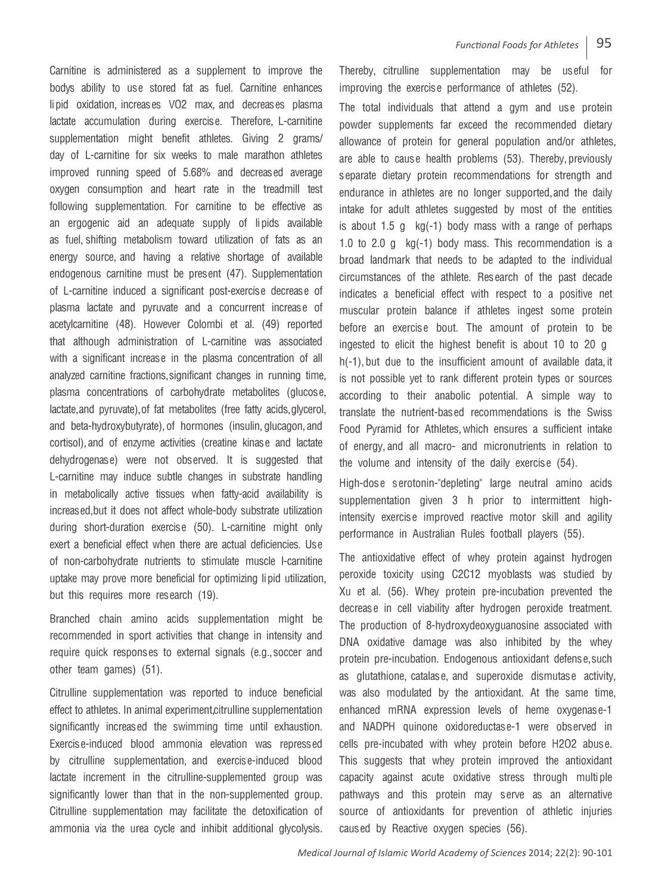Carnitine is administered as a supplement to improve the bodys ability to use stored fat as fuel. Carnitine enhances lipid oxidation, increases VO2 max, and decreases plasma lactate accumulation during exercise. Therefore, L-carnitine supplementation might benefit athletes. Giving 2 grams/ day of L-carnitine for six weeks to male marathon athletes improved running speed of 5.68% and decreased average oxygen consumption and heart rate in the treadmill test following supplementation. For carnitine to be effective as an ergogenic aid an adequate supply of lipids available as fuel, shifting metabolism toward utilization of fats as an energy source, and having a relative shortage of available endogenous carnitine must be present (47). Supplementation of L-carnitine induced a significant post-exercise decrease of plasma lactate and pyruvate and a concurrent increase of acetylcarnitine (48). However Colombi et al. (49) reported that although administration of L-carnitine was associated with a significant increase in the plasma concentration of all analyzed carnitine fractions, significant changes in running time, plasma concentrations of carbohydrate metabolites (glucose, lactate, and pyruvate), of fat metabolites (free fatty acids, glycerol, and beta-hydroxybutyrate), of hormones (insulin, glucagon, and cortisol), and of enzyme activities (creatine kinase and lactate dehydrogenase) were not observed. It is suggested that L-carnitine may induce subtle changes in substrate handling in metabolically active tissues when fatty-acid availability is increased, but it does not affect whole-body substrate utilization during short-duration exercise (50). L-carnitine might only exert a beneficial effect when there are actual deficiencies. Use of non-carbohydrate nutrients to stimulate muscle l-carnitine uptake may prove more beneficial for optimizing lipid utilization, but this requires more research (19).

Branched chain amino acids supplementation might be recommended in sport activities that change in intensity and require quick responses to external signals (e.g., soccer and other team games) (51).

Citrulline supplementation was reported to induce beneficial effect to athletes. In animal experiment, citrulline supplementation significantly increased the swimming time until exhaustion. Exercise-induced blood ammonia elevation was repressed by citrulline supplementation, and exercise-induced blood lactate increment in the citrulline-supplemented group was significantly lower than that in the non-supplemented group. Citrulline supplementation may facilitate the detoxification of ammonia via the urea cycle and inhibit additional glycolysis.

Thereby, citrulline supplementation may be useful for improving the exercise performance of athletes (52).

The total individuals that attend a gym and use protein powder supplements far exceed the recommended dietary allowance of protein for general population and/or athletes, are able to cause health problems (53). Thereby, previously separate dietary protein recommendations for strength and endurance in athletes are no longer supported, and the daily intake for adult athletes suggested by most of the entities is about 1.5 g  $kg(-1)$  body mass with a range of perhaps 1.0 to 2.0 g  $kg(-1)$  body mass. This recommendation is a broad landmark that needs to be adapted to the individual circumstances of the athlete. Research of the past decade indicates a beneficial effect with respect to a positive net muscular protein balance if athletes ingest some protein before an exercise bout. The amount of protein to be ingested to elicit the highest benefit is about 10 to 20 g • h(-1), but due to the insufficient amount of available data, it is not possible yet to rank different protein types or sources according to their anabolic potential. A simple way to translate the nutrient-based recommendations is the Swiss Food Pyramid for Athletes, which ensures a sufficient intake of energy, and all macro- and micronutrients in relation to the volume and intensity of the daily exercise (54).

High-dose serotonin-"depleting" large neutral amino acids supplementation given 3 h prior to intermittent highintensity exercise improved reactive motor skill and agility performance in Australian Rules football players (55).

The antioxidative effect of whey protein against hydrogen peroxide toxicity using C2C12 myoblasts was studied by Xu et al. (56). Whey protein pre-incubation prevented the decrease in cell viability after hydrogen peroxide treatment. The production of 8-hydroxydeoxyguanosine associated with DNA oxidative damage was also inhibited by the whey protein pre-incubation. Endogenous antioxidant defense, such as glutathione, catalase, and superoxide dismutase activity, was also modulated by the antioxidant. At the same time, enhanced mRNA expression levels of heme oxygenase-1 and NADPH quinone oxidoreductase-1 were observed in cells pre-incubated with whey protein before H2O2 abuse. This suggests that whey protein improved the antioxidant capacity against acute oxidative stress through multiple pathways and this protein may serve as an alternative source of antioxidants for prevention of athletic injuries caused by Reactive oxygen species (56).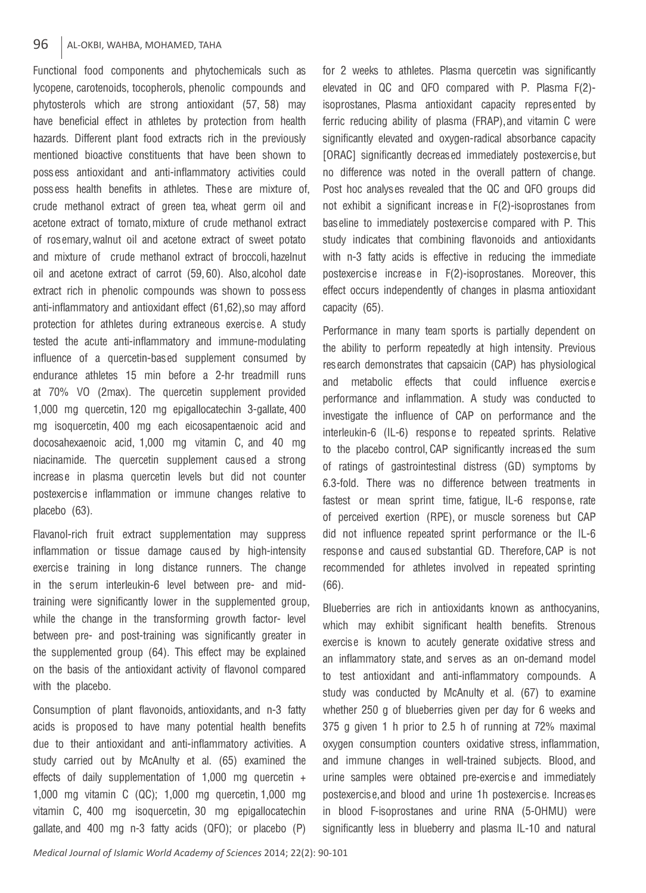### 96 | AL-OKBI, WAHBA, MOHAMED, TAHA

Functional food components and phytochemicals such as lycopene, carotenoids, tocopherols, phenolic compounds and phytosterols which are strong antioxidant (57, 58) may have beneficial effect in athletes by protection from health hazards. Different plant food extracts rich in the previously mentioned bioactive constituents that have been shown to possess antioxidant and anti-inflammatory activities could possess health benefits in athletes. These are mixture of, crude methanol extract of green tea, wheat germ oil and acetone extract of tomato, mixture of crude methanol extract of rosemary, walnut oil and acetone extract of sweet potato and mixture of crude methanol extract of broccoli, hazelnut oil and acetone extract of carrot (59, 60). Also, alcohol date extract rich in phenolic compounds was shown to possess anti-inflammatory and antioxidant effect (61, 62), so may afford protection for athletes during extraneous exercise. A study tested the acute anti-inflammatory and immune-modulating influence of a quercetin-based supplement consumed by endurance athletes 15 min before a 2-hr treadmill runs at 70% VO (2max). The quercetin supplement provided 1,000 mg quercetin, 120 mg epigallocatechin 3-gallate, 400 mg isoquercetin, 400 mg each eicosapentaenoic acid and docosahexaenoic acid, 1,000 mg vitamin C, and 40 mg niacinamide. The quercetin supplement caused a strong increase in plasma quercetin levels but did not counter postexercise inflammation or immune changes relative to placebo (63).

Flavanol-rich fruit extract supplementation may suppress inflammation or tissue damage caused by high-intensity exercise training in long distance runners. The change in the serum interleukin-6 level between pre- and midtraining were significantly lower in the supplemented group, while the change in the transforming growth factor- level between pre- and post-training was significantly greater in the supplemented group (64). This effect may be explained on the basis of the antioxidant activity of flavonol compared with the placebo.

Consumption of plant flavonoids, antioxidants, and n-3 fatty acids is proposed to have many potential health benefits due to their antioxidant and anti-inflammatory activities. A study carried out by McAnulty et al. (65) examined the effects of daily supplementation of 1,000 mg quercetin + 1,000 mg vitamin C (QC); 1,000 mg quercetin, 1,000 mg vitamin C, 400 mg isoquercetin, 30 mg epigallocatechin gallate, and 400 mg n-3 fatty acids (QFO); or placebo (P) for 2 weeks to athletes. Plasma quercetin was significantly elevated in QC and QFO compared with P. Plasma F(2) isoprostanes, Plasma antioxidant capacity represented by ferric reducing ability of plasma (FRAP), and vitamin C were significantly elevated and oxygen-radical absorbance capacity [ORAC] significantly decreased immediately postexercise, but no difference was noted in the overall pattern of change. Post hoc analyses revealed that the QC and QFO groups did not exhibit a significant increase in F(2)-isoprostanes from baseline to immediately postexercise compared with P. This study indicates that combining flavonoids and antioxidants with n-3 fatty acids is effective in reducing the immediate postexercise increase in F(2)-isoprostanes. Moreover, this effect occurs independently of changes in plasma antioxidant capacity (65).

Performance in many team sports is partially dependent on the ability to perform repeatedly at high intensity. Previous research demonstrates that capsaicin (CAP) has physiological and metabolic effects that could influence exercise performance and inflammation. A study was conducted to investigate the influence of CAP on performance and the interleukin-6 (IL-6) response to repeated sprints. Relative to the placebo control, CAP significantly increased the sum of ratings of gastrointestinal distress (GD) symptoms by 6.3-fold. There was no difference between treatments in fastest or mean sprint time, fatigue, IL-6 response, rate of perceived exertion (RPE), or muscle soreness but CAP did not influence repeated sprint performance or the IL-6 response and caused substantial GD. Therefore, CAP is not recommended for athletes involved in repeated sprinting (66).

Blueberries are rich in antioxidants known as anthocyanins, which may exhibit significant health benefits. Strenous exercise is known to acutely generate oxidative stress and an inflammatory state, and serves as an on-demand model to test antioxidant and anti-inflammatory compounds. A study was conducted by McAnulty et al. (67) to examine whether 250 g of blueberries given per day for 6 weeks and 375 g given 1 h prior to 2.5 h of running at 72% maximal oxygen consumption counters oxidative stress, inflammation, and immune changes in well-trained subjects. Blood, and urine samples were obtained pre-exercise and immediately postexercise, and blood and urine 1h postexercise. Increases in blood F-isoprostanes and urine RNA (5-OHMU) were significantly less in blueberry and plasma IL-10 and natural

*Medical Journal of Islamic World Academy of Sciences* 2014; 22(2): 90-101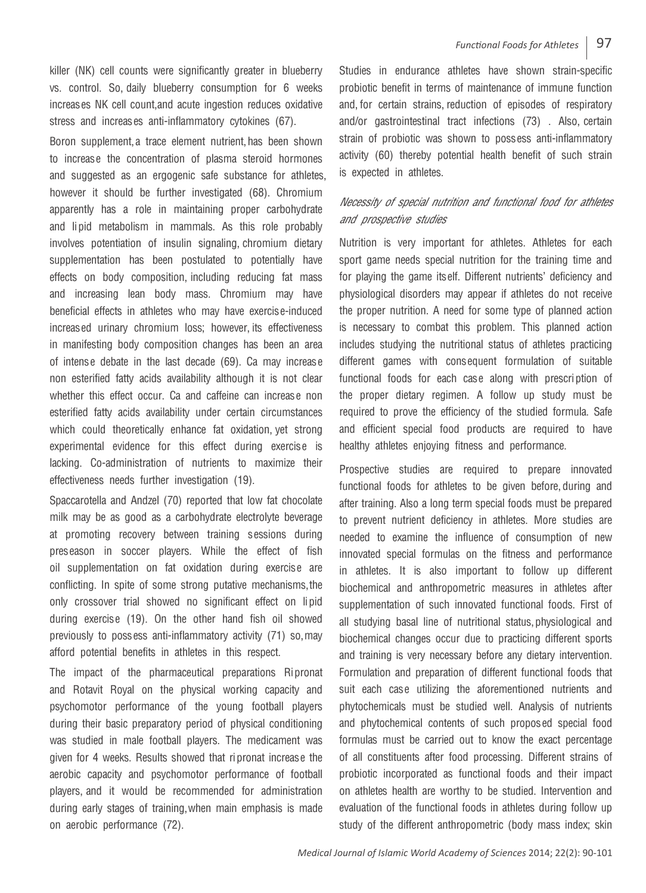killer (NK) cell counts were significantly greater in blueberry vs. control. So, daily blueberry consumption for 6 weeks increases NK cell count, and acute ingestion reduces oxidative stress and increases anti-inflammatory cytokines (67).

Boron supplement, a trace element nutrient, has been shown to increase the concentration of plasma steroid hormones and suggested as an ergogenic safe substance for athletes. however it should be further investigated (68). Chromium apparently has a role in maintaining proper carbohydrate and lipid metabolism in mammals. As this role probably involves potentiation of insulin signaling, chromium dietary supplementation has been postulated to potentially have effects on body composition, including reducing fat mass and increasing lean body mass. Chromium may have beneficial effects in athletes who may have exercise-induced increased urinary chromium loss; however, its effectiveness in manifesting body composition changes has been an area of intense debate in the last decade (69). Ca may increase non esterified fatty acids availability although it is not clear whether this effect occur. Ca and caffeine can increase non esterified fatty acids availability under certain circumstances which could theoretically enhance fat oxidation, yet strong experimental evidence for this effect during exercise is lacking. Co-administration of nutrients to maximize their effectiveness needs further investigation (19).

Spaccarotella and Andzel (70) reported that low fat chocolate milk may be as good as a carbohydrate electrolyte beverage at promoting recovery between training sessions during preseason in soccer players. While the effect of fish oil supplementation on fat oxidation during exercise are conflicting. In spite of some strong putative mechanisms, the only crossover trial showed no significant effect on lipid during exercise (19). On the other hand fish oil showed previously to possess anti-inflammatory activity (71) so, may afford potential benefits in athletes in this respect.

The impact of the pharmaceutical preparations Ripronat and Rotavit Royal on the physical working capacity and psychomotor performance of the young football players during their basic preparatory period of physical conditioning was studied in male football players. The medicament was given for 4 weeks. Results showed that ripronat increase the aerobic capacity and psychomotor performance of football players, and it would be recommended for administration during early stages of training, when main emphasis is made on aerobic performance (72).

Studies in endurance athletes have shown strain-specific probiotic benefit in terms of maintenance of immune function and, for certain strains, reduction of episodes of respiratory and/or gastrointestinal tract infections (73) . Also, certain strain of probiotic was shown to possess anti-inflammatory activity (60) thereby potential health benefit of such strain is expected in athletes.

# Necessity of special nutrition and functional food for athletes and prospective studies

Nutrition is very important for athletes. Athletes for each sport game needs special nutrition for the training time and for playing the game itself. Different nutrients' deficiency and physiological disorders may appear if athletes do not receive the proper nutrition. A need for some type of planned action is necessary to combat this problem. This planned action includes studying the nutritional status of athletes practicing different games with consequent formulation of suitable functional foods for each case along with prescription of the proper dietary regimen. A follow up study must be required to prove the efficiency of the studied formula. Safe and efficient special food products are required to have healthy athletes enjoying fitness and performance.

Prospective studies are required to prepare innovated functional foods for athletes to be given before, during and after training. Also a long term special foods must be prepared to prevent nutrient deficiency in athletes. More studies are needed to examine the influence of consumption of new innovated special formulas on the fitness and performance in athletes. It is also important to follow up different biochemical and anthropometric measures in athletes after supplementation of such innovated functional foods. First of all studying basal line of nutritional status, physiological and biochemical changes occur due to practicing different sports and training is very necessary before any dietary intervention. Formulation and preparation of different functional foods that suit each case utilizing the aforementioned nutrients and phytochemicals must be studied well. Analysis of nutrients and phytochemical contents of such proposed special food formulas must be carried out to know the exact percentage of all constituents after food processing. Different strains of probiotic incorporated as functional foods and their impact on athletes health are worthy to be studied. Intervention and evaluation of the functional foods in athletes during follow up study of the different anthropometric (body mass index; skin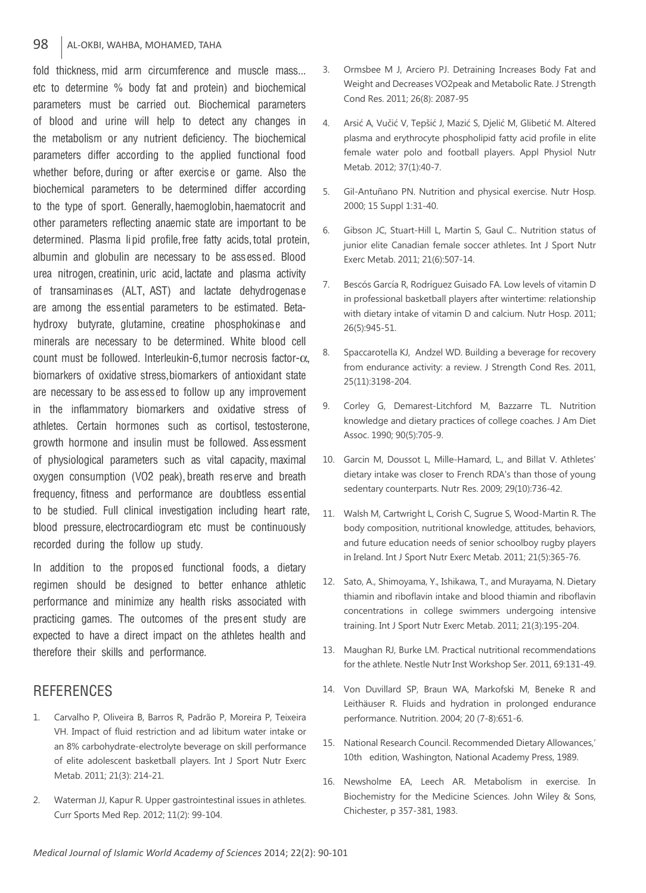#### 98 | AL-OKBI, WAHBA, MOHAMED, TAHA

fold thickness, mid arm circumference and muscle mass... etc to determine % body fat and protein) and biochemical parameters must be carried out. Biochemical parameters of blood and urine will help to detect any changes in the metabolism or any nutrient deficiency. The biochemical parameters differ according to the applied functional food whether before, during or after exercise or game. Also the biochemical parameters to be determined differ according to the type of sport. Generally, haemoglobin, haematocrit and other parameters reflecting anaemic state are important to be determined. Plasma lipid profile, free fatty acids, total protein, albumin and globulin are necessary to be assessed. Blood urea nitrogen, creatinin, uric acid, lactate and plasma activity of transaminases (ALT, AST) and lactate dehydrogenase are among the essential parameters to be estimated. Betahydroxy butyrate, glutamine, creatine phosphokinase and minerals are necessary to be determined. White blood cell count must be followed. Interleukin-6, tumor necrosis factor-α, biomarkers of oxidative stress, biomarkers of antioxidant state are necessary to be assessed to follow up any improvement in the inflammatory biomarkers and oxidative stress of athletes. Certain hormones such as cortisol, testosterone, growth hormone and insulin must be followed. Assessment of physiological parameters such as vital capacity, maximal oxygen consumption (VO2 peak), breath reserve and breath frequency, fitness and performance are doubtless essential to be studied. Full clinical investigation including heart rate, blood pressure, electrocardiogram etc must be continuously recorded during the follow up study.

In addition to the proposed functional foods, a dietary regimen should be designed to better enhance athletic performance and minimize any health risks associated with practicing games. The outcomes of the present study are expected to have a direct impact on the athletes health and therefore their skills and performance.

# **REFERENCES**

- 1. Carvalho P, Oliveira B, Barros R, Padrão P, Moreira P, Teixeira VH. Impact of fluid restriction and ad libitum water intake or an 8% carbohydrate-electrolyte beverage on skill performance of elite adolescent basketball players. Int J Sport Nutr Exerc Metab. 2011; 21(3): 214-21.
- 2. Waterman JJ, Kapur R. Upper gastrointestinal issues in athletes. Curr Sports Med Rep. 2012; 11(2): 99-104.
- 3. Ormsbee M J, Arciero PJ. Detraining Increases Body Fat and Weight and Decreases VO2peak and Metabolic Rate. J Strength Cond Res. 2011; 26(8): 2087-95
- 4. Arsić A, Vučić V, Tepšić J, Mazić S, Djelić M, Glibetić M. Altered plasma and erythrocyte phospholipid fatty acid profile in elite female water polo and football players. Appl Physiol Nutr Metab. 2012; 37(1):40-7.
- 5. Gil-Antuñano PN. Nutrition and physical exercise. Nutr Hosp. 2000; 15 Suppl 1:31-40.
- 6. Gibson JC, Stuart-Hill L, Martin S, Gaul C.. Nutrition status of junior elite Canadian female soccer athletes. Int J Sport Nutr Exerc Metab. 2011; 21(6):507-14.
- 7. Bescós García R, Rodríguez Guisado FA. Low levels of vitamin D in professional basketball players after wintertime: relationship with dietary intake of vitamin D and calcium. Nutr Hosp. 2011; 26(5):945-51.
- 8. Spaccarotella KJ, Andzel WD. Building a beverage for recovery from endurance activity: a review. J Strength Cond Res. 2011, 25(11):3198-204.
- 9. Corley G, Demarest-Litchford M, Bazzarre TL. Nutrition knowledge and dietary practices of college coaches. J Am Diet Assoc. 1990; 90(5):705-9.
- 10. Garcin M, Doussot L, Mille-Hamard, L., and Billat V. Athletes' dietary intake was closer to French RDA's than those of young sedentary counterparts. Nutr Res. 2009; 29(10):736-42.
- 11. Walsh M, Cartwright L, Corish C, Sugrue S, Wood-Martin R. The body composition, nutritional knowledge, attitudes, behaviors, and future education needs of senior schoolboy rugby players in Ireland. Int J Sport Nutr Exerc Metab. 2011; 21(5):365-76.
- 12. Sato, A., Shimoyama, Y., Ishikawa, T., and Murayama, N. Dietary thiamin and riboflavin intake and blood thiamin and riboflavin concentrations in college swimmers undergoing intensive training. Int J Sport Nutr Exerc Metab. 2011; 21(3):195-204.
- 13. Maughan RJ, Burke LM. Practical nutritional recommendations for the athlete. Nestle Nutr Inst Workshop Ser. 2011, 69:131-49.
- 14. Von Duvillard SP, Braun WA, Markofski M, Beneke R and Leithäuser R. Fluids and hydration in prolonged endurance performance. Nutrition. 2004; 20 (7-8):651-6.
- 15. National Research Council. Recommended Dietary Allowances,' 10th edition, Washington, National Academy Press, 1989.
- 16. Newsholme EA, Leech AR. Metabolism in exercise. In Biochemistry for the Medicine Sciences. John Wiley & Sons, Chichester, p 357-381, 1983.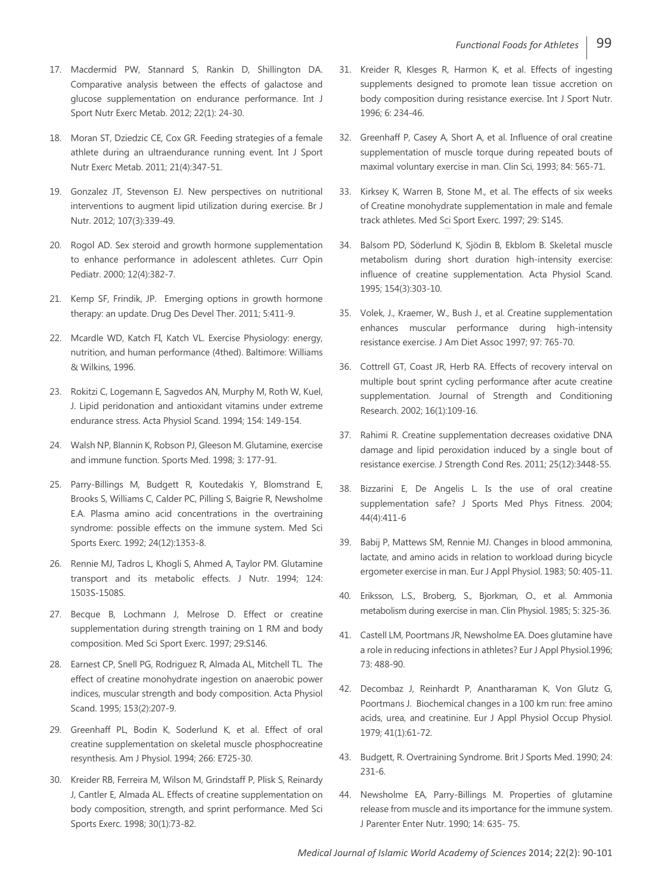- 17. Macdermid PW, Stannard S, Rankin D, Shillington DA. Comparative analysis between the effects of galactose and glucose supplementation on endurance performance. Int J Sport Nutr Exerc Metab. 2012; 22(1): 24-30.
- 18. Moran ST, Dziedzic CE, Cox GR. Feeding strategies of a female athlete during an ultraendurance running event. Int J Sport Nutr Exerc Metab. 2011; 21(4):347-51.
- 19. Gonzalez JT, Stevenson EJ. New perspectives on nutritional interventions to augment lipid utilization during exercise. Br J Nutr. 2012; 107(3):339-49.
- 20. Rogol AD. Sex steroid and growth hormone supplementation to enhance performance in adolescent athletes. Curr Opin Pediatr. 2000; 12(4):382-7.
- 21. Kemp SF, Frindik, JP. Emerging options in growth hormone therapy: an update. Drug Des Devel Ther. 2011; 5:411-9.
- 22. Mcardle WD, Katch FI, Katch VL. Exercise Physiology: energy, nutrition, and human performance (4thed). Baltimore: Williams & Wilkins, 1996.
- 23. Rokitzi C, Logemann E, Sagvedos AN, Murphy M, Roth W, Kuel, J. Lipid peridonation and antioxidant vitamins under extreme endurance stress. Acta Physiol Scand. 1994; 154: 149-154.
- 24. Walsh NP, Blannin K, Robson PJ, Gleeson M. Glutamine, exercise and immune function. Sports Med. 1998; 3: 177-91.
- 25. Parry-Billings M, Budgett R, Koutedakis Y, Blomstrand E, Brooks S, Williams C, Calder PC, Pilling S, Baigrie R, Newsholme E.A. Plasma amino acid concentrations in the overtraining syndrome: possible effects on the immune system. Med Sci Sports Exerc. 1992; 24(12):1353-8.
- 26. Rennie MJ, Tadros L, Khogli S, Ahmed A, Taylor PM. Glutamine transport and its metabolic effects. J Nutr. 1994; 124: 1503S-1508S.
- 27. Becque B, Lochmann J, Melrose D. Effect or creatine supplementation during strength training on 1 RM and body composition. Med Sci Sport Exerc. 1997; 29:S146.
- 28. Earnest CP, Snell PG, Rodriguez R, Almada AL, Mitchell TL. The effect of creatine monohydrate ingestion on anaerobic power indices, muscular strength and body composition. Acta Physiol Scand. 1995; 153(2):207-9.
- 29. Greenhaff PL, Bodin K, Soderlund K, et al. Effect of oral creatine supplementation on skeletal muscle phosphocreatine resynthesis. Am J Physiol. 1994; 266: E725-30.
- 30. Kreider RB, Ferreira M, Wilson M, Grindstaff P, Plisk S, Reinardy J, Cantler E, Almada AL. Effects of creatine supplementation on body composition, strength, and sprint performance. Med Sci Sports Exerc. 1998; 30(1):73-82.
- 31. Kreider R, Klesges R, Harmon K, et al. Effects of ingesting supplements designed to promote lean tissue accretion on body composition during resistance exercise. Int J Sport Nutr. 1996; 6: 234-46.
- 32. Greenhaff P, Casey A, Short A, et al. Influence of oral creatine supplementation of muscle torque during repeated bouts of maximal voluntary exercise in man. Clin Sci, 1993; 84: 565-71.
- 33. Kirksey K, Warren B, Stone M., et al. The effects of six weeks of Creatine monohydrate supplementation in male and female track athletes. Med Sci Sport Exerc. 1997; 29: S145.
- 34. Balsom PD, Söderlund K, Sjödin B, Ekblom B. Skeletal muscle metabolism during short duration high-intensity exercise: influence of creatine supplementation. Acta Physiol Scand. 1995; 154(3):303-10.
- 35. Volek, J., Kraemer, W., Bush J., et al. Creatine supplementation enhances muscular performance during high-intensity resistance exercise. J Am Diet Assoc 1997; 97: 765-70.
- 36. Cottrell GT, Coast JR, Herb RA. Effects of recovery interval on multiple bout sprint cycling performance after acute creatine supplementation. Journal of Strength and Conditioning Research. 2002; 16(1):109-16.
- 37. Rahimi R. Creatine supplementation decreases oxidative DNA damage and lipid peroxidation induced by a single bout of resistance exercise. J Strength Cond Res. 2011; 25(12):3448-55.
- 38. Bizzarini E, De Angelis L. Is the use of oral creatine supplementation safe? J Sports Med Phys Fitness. 2004; 44(4):411-6
- 39. Babij P, Mattews SM, Rennie MJ. Changes in blood ammonina, lactate, and amino acids in relation to workload during bicycle ergometer exercise in man. Eur J Appl Physiol. 1983; 50: 405-11.
- 40. Eriksson, L.S., Broberg, S., Bjorkman, O., et al. Ammonia metabolism during exercise in man. Clin Physiol. 1985; 5: 325-36.
- 41. Castell LM, Poortmans JR, Newsholme EA. Does glutamine have a role in reducing infections in athletes? Eur J Appl Physiol.1996; 73: 488-90.
- 42. Decombaz J, Reinhardt P, Anantharaman K, Von Glutz G, Poortmans J. Biochemical changes in a 100 km run: free amino acids, urea, and creatinine. Eur J Appl Physiol Occup Physiol. 1979; 41(1):61-72.
- 43. Budgett, R. Overtraining Syndrome. Brit J Sports Med. 1990; 24: 231-6.
- 44. Newsholme EA, Parry-Billings M. Properties of glutamine release from muscle and its importance for the immune system. J Parenter Enter Nutr. 1990; 14: 635- 75.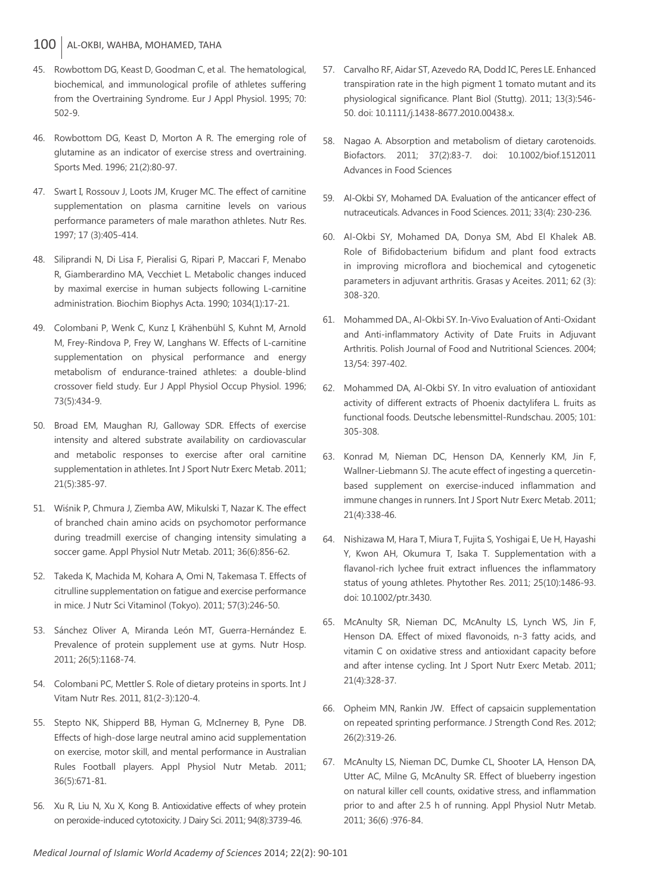### 100 AL-OKBI, WAHBA, MOHAMED, TAHA

- 45. Rowbottom DG, Keast D, Goodman C, et al. The hematological, biochemical, and immunological profile of athletes suffering from the Overtraining Syndrome. Eur J Appl Physiol. 1995; 70: 502-9.
- 46. Rowbottom DG, Keast D, Morton A R. The emerging role of glutamine as an indicator of exercise stress and overtraining. Sports Med. 1996; 21(2):80-97.
- 47. Swart I, Rossouv J, Loots JM, Kruger MC. The effect of carnitine supplementation on plasma carnitine levels on various performance parameters of male marathon athletes. Nutr Res. 1997; 17 (3):405-414.
- 48. Siliprandi N, Di Lisa F, Pieralisi G, Ripari P, Maccari F, Menabo R, Giamberardino MA, Vecchiet L. Metabolic changes induced by maximal exercise in human subjects following L-carnitine administration. Biochim Biophys Acta. 1990; 1034(1):17-21.
- 49. Colombani P, Wenk C, Kunz I, Krähenbühl S, Kuhnt M, Arnold M, Frey-Rindova P, Frey W, Langhans W. Effects of L-carnitine supplementation on physical performance and energy metabolism of endurance-trained athletes: a double-blind crossover field study. Eur J Appl Physiol Occup Physiol. 1996; 73(5):434-9.
- 50. Broad EM, Maughan RJ, Galloway SDR. Effects of exercise intensity and altered substrate availability on cardiovascular and metabolic responses to exercise after oral carnitine supplementation in athletes. Int J Sport Nutr Exerc Metab. 2011; 21(5):385-97.
- 51. Wiśnik P, Chmura J, Ziemba AW, Mikulski T, Nazar K. The effect of branched chain amino acids on psychomotor performance during treadmill exercise of changing intensity simulating a soccer game. Appl Physiol Nutr Metab. 2011; 36(6):856-62.
- 52. Takeda K, Machida M, Kohara A, Omi N, Takemasa T. Effects of citrulline supplementation on fatigue and exercise performance in mice. J Nutr Sci Vitaminol (Tokyo). 2011; 57(3):246-50.
- 53. Sánchez Oliver A, Miranda León MT, Guerra-Hernández E. Prevalence of protein supplement use at gyms. Nutr Hosp. 2011; 26(5):1168-74.
- 54. Colombani PC, Mettler S. Role of dietary proteins in sports. Int J Vitam Nutr Res. 2011, 81(2-3):120-4.
- 55. Stepto NK, Shipperd BB, Hyman G, McInerney B, Pyne DB. Effects of high-dose large neutral amino acid supplementation on exercise, motor skill, and mental performance in Australian Rules Football players. Appl Physiol Nutr Metab. 2011; 36(5):671-81.
- 56. Xu R, Liu N, Xu X, Kong B. Antioxidative effects of whey protein on peroxide-induced cytotoxicity. J Dairy Sci. 2011; 94(8):3739-46.
- 57. Carvalho RF, Aidar ST, Azevedo RA, Dodd IC, Peres LE. Enhanced transpiration rate in the high pigment 1 tomato mutant and its physiological significance. Plant Biol (Stuttg). 2011; 13(3):546- 50. doi: 10.1111/j.1438-8677.2010.00438.x.
- 58. Nagao A. Absorption and metabolism of dietary carotenoids. Biofactors. 2011; 37(2):83-7. doi: 10.1002/biof.1512011 Advances in Food Sciences
- 59. Al-Okbi SY, Mohamed DA. Evaluation of the anticancer effect of nutraceuticals. Advances in Food Sciences. 2011; 33(4): 230-236.
- 60. Al-Okbi SY, Mohamed DA, Donya SM, Abd El Khalek AB. Role of Bifidobacterium bifidum and plant food extracts in improving microflora and biochemical and cytogenetic parameters in adjuvant arthritis. Grasas y Aceites. 2011; 62 (3): 308-320.
- 61. Mohammed DA., Al-Okbi SY. In-Vivo Evaluation of Anti-Oxidant and Anti-inflammatory Activity of Date Fruits in Adjuvant Arthritis. Polish Journal of Food and Nutritional Sciences. 2004; 13/54: 397-402.
- 62. Mohammed DA, Al-Okbi SY. In vitro evaluation of antioxidant activity of different extracts of Phoenix dactylifera L. fruits as functional foods. Deutsche lebensmittel-Rundschau. 2005; 101: 305-308.
- 63. Konrad M, Nieman DC, Henson DA, Kennerly KM, Jin F, Wallner-Liebmann SJ. The acute effect of ingesting a quercetinbased supplement on exercise-induced inflammation and immune changes in runners. Int J Sport Nutr Exerc Metab. 2011; 21(4):338-46.
- 64. Nishizawa M, Hara T, Miura T, Fujita S, Yoshigai E, Ue H, Hayashi Y, Kwon AH, Okumura T, Isaka T. Supplementation with a flavanol-rich lychee fruit extract influences the inflammatory status of young athletes. Phytother Res. 2011; 25(10):1486-93. doi: 10.1002/ptr.3430.
- 65. McAnulty SR, Nieman DC, McAnulty LS, Lynch WS, Jin F, Henson DA. Effect of mixed flavonoids, n-3 fatty acids, and vitamin C on oxidative stress and antioxidant capacity before and after intense cycling. Int J Sport Nutr Exerc Metab. 2011; 21(4):328-37.
- 66. Opheim MN, Rankin JW. Effect of capsaicin supplementation on repeated sprinting performance. J Strength Cond Res. 2012; 26(2):319-26.
- 67. McAnulty LS, Nieman DC, Dumke CL, Shooter LA, Henson DA, Utter AC, Milne G, McAnulty SR. Effect of blueberry ingestion on natural killer cell counts, oxidative stress, and inflammation prior to and after 2.5 h of running. Appl Physiol Nutr Metab. 2011; 36(6) :976-84.